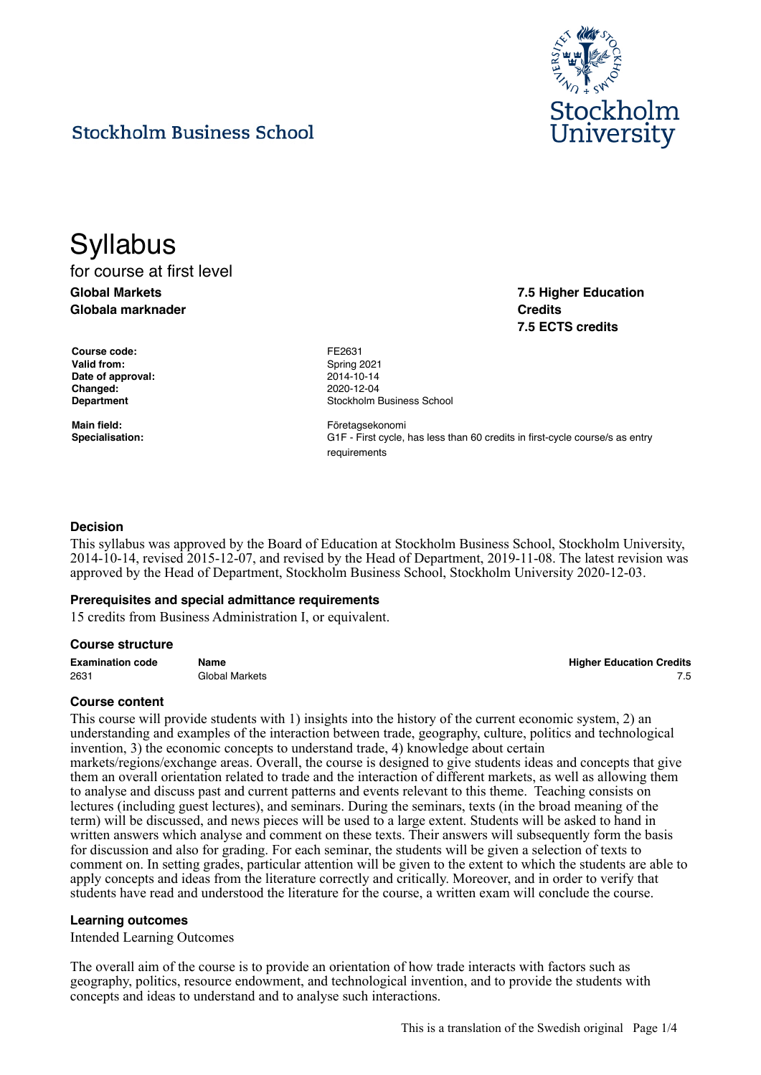

**7.5 Higher Education**

**7.5 ECTS credits**

**Credits**

## **Stockholm Business School**

# **Syllabus**

for course at first level **Global Markets Globala marknader**

**Course code:** FE2631 Valid from: Spring 2021 **Date of approval:** 2014-10-14 **Changed:** 2020-12-04

**Department Constanting Constanting Constanting Constanting Constanting Constanting Constanting Constanting Constanting Constanting Constanting Constanting Constanting Constanting Constanting Constanting Constanting Cons** 

Main field: **Main field: Företagsekonomi Specialisation:** G1F - First cycle, has less than 60 credits in first-cycle course/s as entry requirements

## **Decision**

This syllabus was approved by the Board of Education at Stockholm Business School, Stockholm University, 2014-10-14, revised 2015-12-07, and revised by the Head of Department, 2019-11-08. The latest revision was approved by the Head of Department, Stockholm Business School, Stockholm University 2020-12-03.

## **Prerequisites and special admittance requirements**

15 credits from Business Administration I, or equivalent.

## **Course structure**

**Examination code Name Higher Education Credits** 2631 Global Markets 7.5

## **Course content**

This course will provide students with 1) insights into the history of the current economic system, 2) an understanding and examples of the interaction between trade, geography, culture, politics and technological invention, 3) the economic concepts to understand trade, 4) knowledge about certain markets/regions/exchange areas. Overall, the course is designed to give students ideas and concepts that give them an overall orientation related to trade and the interaction of different markets, as well as allowing them to analyse and discuss past and current patterns and events relevant to this theme. Teaching consists on lectures (including guest lectures), and seminars. During the seminars, texts (in the broad meaning of the term) will be discussed, and news pieces will be used to a large extent. Students will be asked to hand in written answers which analyse and comment on these texts. Their answers will subsequently form the basis for discussion and also for grading. For each seminar, the students will be given a selection of texts to comment on. In setting grades, particular attention will be given to the extent to which the students are able to apply concepts and ideas from the literature correctly and critically. Moreover, and in order to verify that students have read and understood the literature for the course, a written exam will conclude the course.

## **Learning outcomes**

Intended Learning Outcomes

The overall aim of the course is to provide an orientation of how trade interacts with factors such as geography, politics, resource endowment, and technological invention, and to provide the students with concepts and ideas to understand and to analyse such interactions.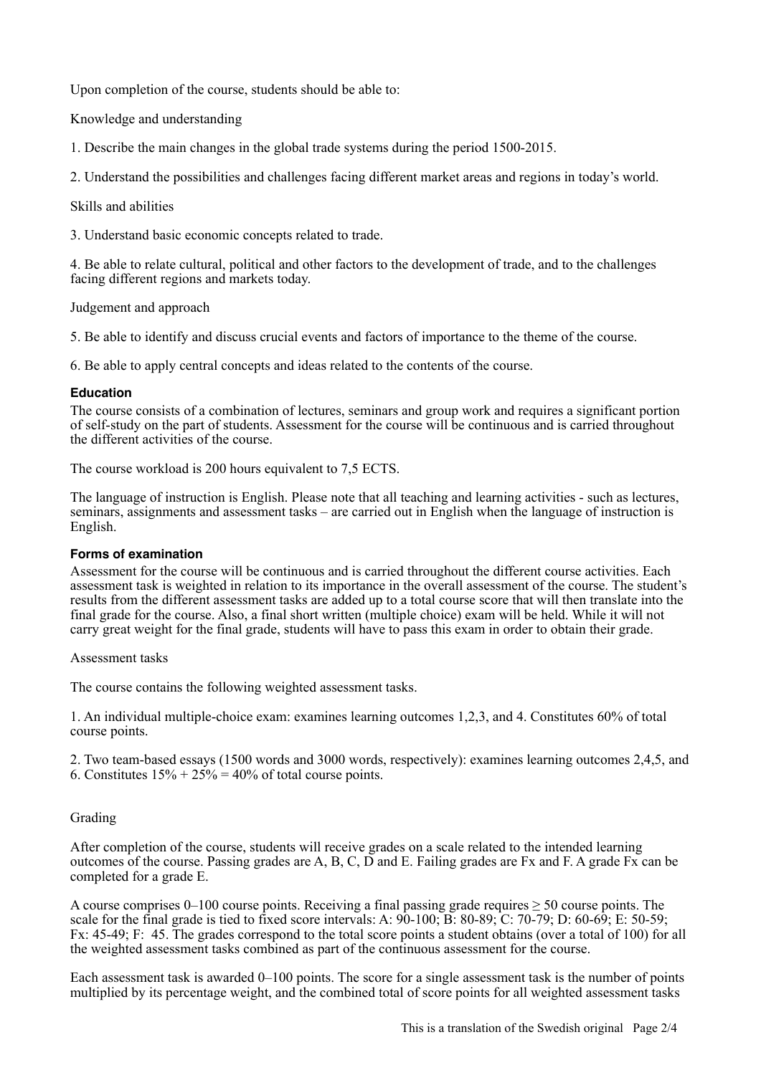Upon completion of the course, students should be able to:

Knowledge and understanding

1. Describe the main changes in the global trade systems during the period 1500-2015.

2. Understand the possibilities and challenges facing different market areas and regions in today's world.

Skills and abilities

3. Understand basic economic concepts related to trade.

4. Be able to relate cultural, political and other factors to the development of trade, and to the challenges facing different regions and markets today.

Judgement and approach

5. Be able to identify and discuss crucial events and factors of importance to the theme of the course.

6. Be able to apply central concepts and ideas related to the contents of the course.

## **Education**

The course consists of a combination of lectures, seminars and group work and requires a significant portion of self-study on the part of students. Assessment for the course will be continuous and is carried throughout the different activities of the course.

The course workload is 200 hours equivalent to 7,5 ECTS.

The language of instruction is English. Please note that all teaching and learning activities - such as lectures, seminars, assignments and assessment tasks – are carried out in English when the language of instruction is English.

## **Forms of examination**

Assessment for the course will be continuous and is carried throughout the different course activities. Each assessment task is weighted in relation to its importance in the overall assessment of the course. The student's results from the different assessment tasks are added up to a total course score that will then translate into the final grade for the course. Also, a final short written (multiple choice) exam will be held. While it will not carry great weight for the final grade, students will have to pass this exam in order to obtain their grade.

## Assessment tasks

The course contains the following weighted assessment tasks.

1. An individual multiple-choice exam: examines learning outcomes 1,2,3, and 4. Constitutes 60% of total course points.

2. Two team-based essays (1500 words and 3000 words, respectively): examines learning outcomes 2,4,5, and 6. Constitutes  $15\% + 25\% = 40\%$  of total course points.

## Grading

After completion of the course, students will receive grades on a scale related to the intended learning outcomes of the course. Passing grades are A, B, C, D and E. Failing grades are Fx and F. A grade Fx can be completed for a grade E.

A course comprises 0–100 course points. Receiving a final passing grade requires  $\geq$  50 course points. The scale for the final grade is tied to fixed score intervals: A:  $90-100$ ; B:  $80-89$ ; C:  $70-79$ ; D:  $60-69$ ; E:  $50-59$ ; Fx: 45-49; F: 45. The grades correspond to the total score points a student obtains (over a total of 100) for all the weighted assessment tasks combined as part of the continuous assessment for the course.

Each assessment task is awarded 0–100 points. The score for a single assessment task is the number of points multiplied by its percentage weight, and the combined total of score points for all weighted assessment tasks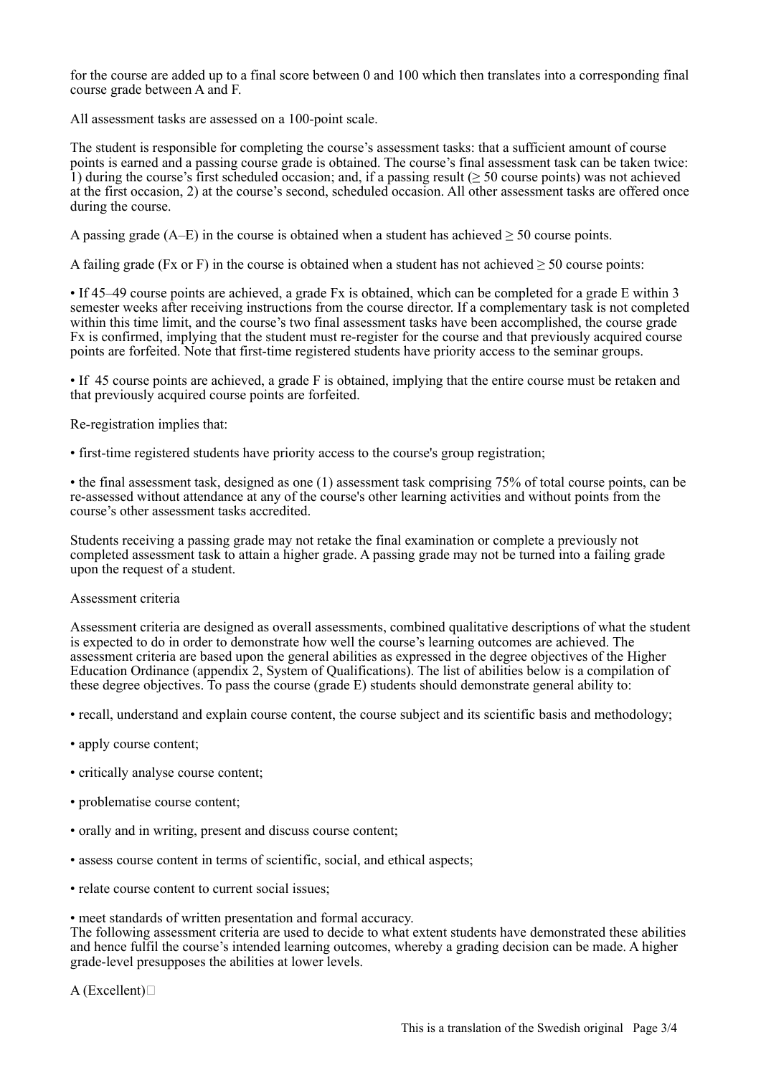for the course are added up to a final score between 0 and 100 which then translates into a corresponding final course grade between A and F.

All assessment tasks are assessed on a 100-point scale.

The student is responsible for completing the course's assessment tasks: that a sufficient amount of course points is earned and a passing course grade is obtained. The course's final assessment task can be taken twice: 1) during the course's first scheduled occasion; and, if a passing result ( $\geq$  50 course points) was not achieved at the first occasion, 2) at the course's second, scheduled occasion. All other assessment tasks are offered once during the course.

A passing grade ( $A$ –E) in the course is obtained when a student has achieved  $> 50$  course points.

A failing grade (Fx or F) in the course is obtained when a student has not achieved  $\geq 50$  course points:

• If 45–49 course points are achieved, a grade Fx is obtained, which can be completed for a grade E within 3 semester weeks after receiving instructions from the course director. If a complementary task is not completed within this time limit, and the course's two final assessment tasks have been accomplished, the course grade Fx is confirmed, implying that the student must re-register for the course and that previously acquired course points are forfeited. Note that first-time registered students have priority access to the seminar groups.

• If 45 course points are achieved, a grade F is obtained, implying that the entire course must be retaken and that previously acquired course points are forfeited.

Re-registration implies that:

• first-time registered students have priority access to the course's group registration;

• the final assessment task, designed as one (1) assessment task comprising 75% of total course points, can be re-assessed without attendance at any of the course's other learning activities and without points from the course's other assessment tasks accredited.

Students receiving a passing grade may not retake the final examination or complete a previously not completed assessment task to attain a higher grade. A passing grade may not be turned into a failing grade upon the request of a student.

## Assessment criteria

Assessment criteria are designed as overall assessments, combined qualitative descriptions of what the student is expected to do in order to demonstrate how well the course's learning outcomes are achieved. The assessment criteria are based upon the general abilities as expressed in the degree objectives of the Higher Education Ordinance (appendix 2, System of Qualifications). The list of abilities below is a compilation of these degree objectives. To pass the course (grade E) students should demonstrate general ability to:

- recall, understand and explain course content, the course subject and its scientific basis and methodology;
- apply course content;
- critically analyse course content;
- problematise course content;
- orally and in writing, present and discuss course content;
- assess course content in terms of scientific, social, and ethical aspects;
- relate course content to current social issues;

• meet standards of written presentation and formal accuracy.

The following assessment criteria are used to decide to what extent students have demonstrated these abilities and hence fulfil the course's intended learning outcomes, whereby a grading decision can be made. A higher grade-level presupposes the abilities at lower levels.

```
A (Excellent)\square
```